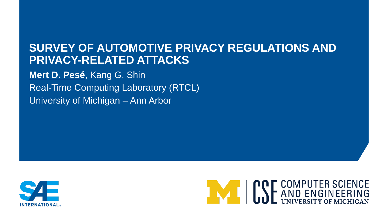## **SURVEY OF AUTOMOTIVE PRIVACY REGULATIONS AND PRIVACY-RELATED ATTACKS**

**Mert D. Pesé**, Kang G. Shin Real-Time Computing Laboratory (RTCL) University of Michigan – Ann Arbor



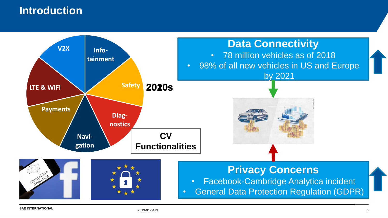## **Introduction**

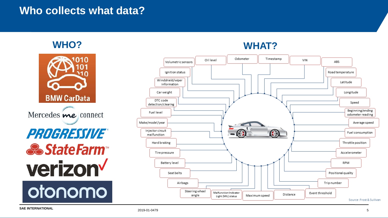### **Who collects what data?**



Mercedes me connect PROGRESSIVE® **& StateFarm verizon** otonomo

#### **WHO? WHAT?**



**SAE INTERNATIONAL**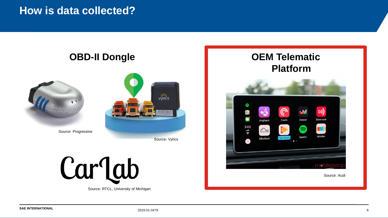### **How is data collected?**

#### **OBD-II Dongle**





Source: Progressive

Source: Vyncs

Carlab

Source: RTCL, University of Michigan

#### **OEM Telematic Platform**



Source: Audi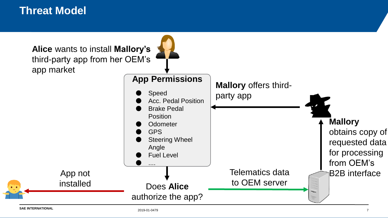### **Threat Model**

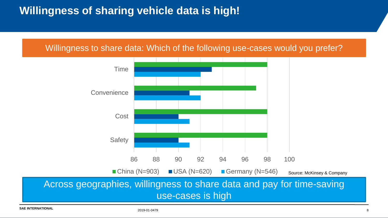## **Willingness of sharing vehicle data is high!**

#### Willingness to share data: Which of the following use-cases would you prefer?



**SAE INTERNATIONAL**

2019-01-0479 8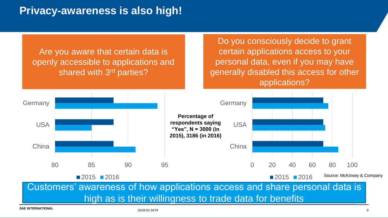## **Privacy-awareness is also high!**

Do you consciously decide to grant certain applications access to your personal data, even if you may have generally disabled this access for other applications?

Are you aware that certain data is openly accessible to applications and shared with 3<sup>rd</sup> parties?



Customers' awareness of how applications access and share personal data is high as is their willingness to trade data for benefits

**SAE INTERNATIONAL**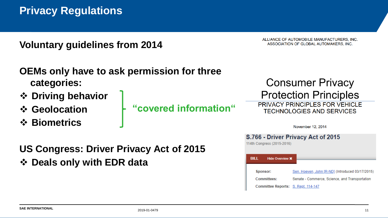**Voluntary guidelines from 2014**

ALLIANCE OF AUTOMOBILE MANUFACTURERS, INC. ASSOCIATION OF GLOBAL AUTOMAKERS, INC.

**Committees:** 

Committee Reports: S. Rept. 114-147

|                                                | OEMs only have to ask permission for three |                                                                    |
|------------------------------------------------|--------------------------------------------|--------------------------------------------------------------------|
| categories:                                    |                                            | <b>Consumer Privacy</b>                                            |
| ❖ Driving behavior                             |                                            | <b>Protection Principles</b>                                       |
| ❖ Geolocation                                  | "covered information"                      | PRIVACY PRINCIPLES FOR VEHICLE<br><b>TECHNOLOGIES AND SERVICES</b> |
| ❖ Biometrics                                   |                                            | November 12, 2014                                                  |
|                                                |                                            | S.766 - Driver Privacy Act of 2015                                 |
| <b>US Congress: Driver Privacy Act of 2015</b> |                                            | 114th Congress (2015-2016)                                         |
| ❖ Deals only with EDR data                     |                                            | <b>BILL</b><br><b>Hide Overview X</b>                              |
|                                                |                                            | Sen. Hoeven, John [R-ND] (Introduced 03/17/2015)<br>Sponsor:       |

Senate - Commerce, Science, and Transportation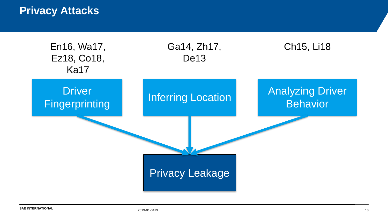### **Privacy Attacks**

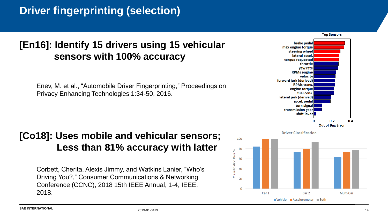## **Driver fingerprinting (selection)**

### **[En16]: Identify 15 drivers using 15 vehicular sensors with 100% accuracy**

Enev, M. et al., "Automobile Driver Fingerprinting," Proceedings on Privacy Enhancing Technologies 1:34-50, 2016.

#### **[Co18]: Uses mobile and vehicular sensors; Less than 81% accuracy with latter**

Corbett, Cherita, Alexis Jimmy, and Watkins Lanier, "Who's Driving You?," Consumer Communications & Networking Conference (CCNC), 2018 15th IEEE Annual, 1-4, IEEE, 2018.



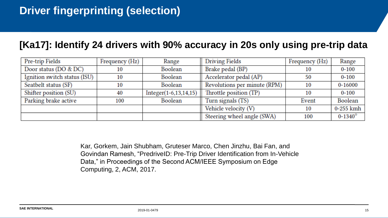#### **[Ka17]: Identify 24 drivers with 90% accuracy in 20s only using pre-trip data**

| Pre-trip Fields              | Frequency (Hz) | Range                      | <b>Driving Fields</b>        | Frequency (Hz) | Range              |
|------------------------------|----------------|----------------------------|------------------------------|----------------|--------------------|
| Door status (DO & DC)        |                | Boolean                    | Brake pedal (BP)             | 10             | $0 - 100$          |
| Ignition switch status (ISU) | 10             | Boolean                    | Accelerator pedal (AP)       | 50             | $0 - 100$          |
| Seatbelt status (SF)         | 10             | Boolean                    | Revolutions per minute (RPM) | 10             | $0 - 16000$        |
| Shifter position (SU)        | 40             | $Integer(1-6, 13, 14, 15)$ | Throttle position (TP)       | 10             | $0 - 100$          |
| Parking brake active         | 100            | Boolean                    | Turn signals (TS)            | Event          | Boolean            |
|                              |                |                            | Vehicle velocity (V)         | 10             | 0-255 kmh          |
|                              |                |                            | Steering wheel angle (SWA)   | 100            | $0 - 1340^{\circ}$ |

Kar, Gorkem, Jain Shubham, Gruteser Marco, Chen Jinzhu, Bai Fan, and Govindan Ramesh, "PredriveID: Pre-Trip Driver Identification from In-Vehicle Data," in Proceedings of the Second ACM/IEEE Symposium on Edge Computing, 2, ACM, 2017.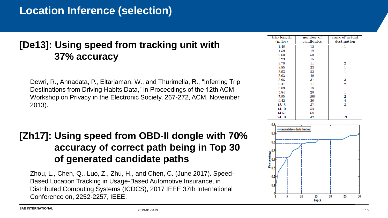## **Location Inference (selection)**

#### **[De13]: Using speed from tracking unit with 37% accuracy**

Dewri, R., Annadata, P., Eltarjaman, W., and Thurimella, R., "Inferring Trip Destinations from Driving Habits Data," in Proceedings of the 12th ACM Workshop on Privacy in the Electronic Society, 267-272, ACM, November 2013).

#### **[Zh17]: Using speed from OBD-II dongle with 70% accuracy of correct path being in Top 30 of generated candidate paths**

Zhou, L., Chen, Q., Luo, Z., Zhu, H., and Chen, C. (June 2017). Speed-Based Location Tracking in Usage-Based Automotive Insurance, in Distributed Computing Systems (ICDCS), 2017 IEEE 37th International Conference on, 2252-2257, IEEE.

| trip length | number of  | rank of actual |
|-------------|------------|----------------|
| (miles)     | candidates | destination    |
| 1.48        | 12         |                |
| 1.59        | 12         |                |
| 2.60        | 50         |                |
| 3.23        | 15         |                |
| 3.78        | 11         | $\overline{2}$ |
| 3.85        | 23         |                |
| 3.93        | 52         |                |
| 3.93        | 49         |                |
| 3.95        | 37         | 3              |
| 5.47        | 11         | $\overline{2}$ |
| 5.89        | 18         |                |
| 5.84        | 20         | 1              |
| 7.95        | 196        | $\overline{2}$ |
| 9.42        | 26         | 4              |
| 13.15       | 37         | 3              |
| 14.10       | 53         |                |
| 14.57       | 68         |                |
| 24.10       | 42         | 13             |

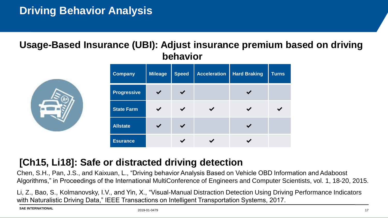#### **Usage-Based Insurance (UBI): Adjust insurance premium based on driving behavior**

| <b>Company</b>     | <b>Mileage</b> | <b>Speed</b> | <b>Acceleration</b> | <b>Hard Braking</b> | <b>Turns</b> |
|--------------------|----------------|--------------|---------------------|---------------------|--------------|
| <b>Progressive</b> |                |              |                     |                     |              |
| <b>State Farm</b>  |                |              |                     |                     |              |
| <b>Allstate</b>    |                |              |                     |                     |              |
| <b>Esurance</b>    |                |              |                     |                     |              |



Chen, S.H., Pan, J.S., and Kaixuan, L., "Driving behavior Analysis Based on Vehicle OBD Information and Adaboost Algorithms," in Proceedings of the International MultiConference of Engineers and Computer Scientists, vol. 1, 18-20, 2015.

Li, Z., Bao, S., Kolmanovsky, I.V., and Yin, X., "Visual-Manual Distraction Detection Using Driving Performance Indicators with Naturalistic Driving Data," IEEE Transactions on Intelligent Transportation Systems, 2017.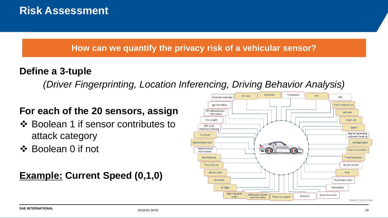#### **How can we quantify the privacy risk of a vehicular sensor?**

### **Define a 3-tuple**

*(Driver Fingerprinting, Location Inferencing, Driving Behavior Analysis)*

### **For each of the 20 sensors, assign**

- ❖ Boolean 1 if sensor contributes to attack category
- ❖ Boolean 0 if not

## **Example: Current Speed (0,1,0)**

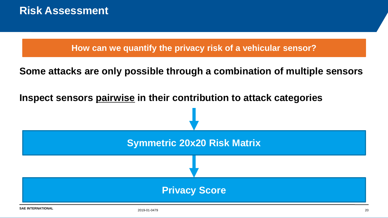**How can we quantify the privacy risk of a vehicular sensor?**

**Some attacks are only possible through a combination of multiple sensors**

**Inspect sensors pairwise in their contribution to attack categories**

![](_page_19_Figure_4.jpeg)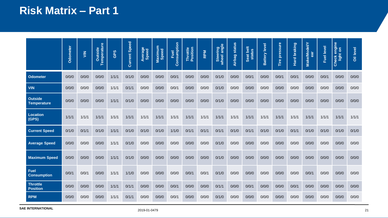## **Risk Matrix – Part 1**

|                                      | <b>Odometer</b> | $\leq$ | Outside<br>Temperature | GPS   | <b>Current Speed</b> | Average<br>Speed | Maximum<br>Speed | Consumption<br>Fuel | Throttle<br>Position | <b>RPM</b> | Steering<br>wheel angle | <b>Airbag status</b> | Seat belt<br>status | <b>Battery level</b> | Tire pressure | <b>braking</b><br>Hard | <b>Make/Model/Y</b><br>ear | Fuel level | engine<br>$\overline{\overline{\overline{6}}}$<br>light<br><b>Check</b> | Oil level |
|--------------------------------------|-----------------|--------|------------------------|-------|----------------------|------------------|------------------|---------------------|----------------------|------------|-------------------------|----------------------|---------------------|----------------------|---------------|------------------------|----------------------------|------------|-------------------------------------------------------------------------|-----------|
| Odometer                             | 0/0/0           | 0/0/0  | 0/0/0                  | 1/1/1 | 0/1/0                | 0/0/0            | 0/0/0            | 0/0/1               | 0/0/0                | 0/0/0      | 0/1/0                   | 0/0/0                | 0/0/1               | 0/0/0                | 0/0/1         | 0/0/1                  | 0/0/0                      | 0/0/1      | 0/0/0                                                                   | 0/0/0     |
| <b>VIN</b>                           | 0/0/0           | 0/0/0  | 0/0/0                  | 1/1/1 | 0/1/1                | 0/0/0            | 0/0/0            | 0/0/1               | 0/0/0                | 0/0/0      | 0/1/0                   | 0/0/0                | 0/0/0               | 0/0/0                | 0/0/0         | 0/0/0                  | 0/0/0                      | 0/0/0      | 0/0/0                                                                   | 0/0/0     |
| <b>Outside</b><br><b>Temperature</b> | 0/0/0           | 0/0/0  | 0/0/0                  | 1/1/1 | 0/1/0                | 0/0/0            | 0/0/0            | 0/0/0               | 0/0/0                | 0/0/0      | 0/1/0                   | 0/0/0                | 0/0/0               | 0/0/0                | 0/0/0         | 0/0/0                  | 0/0/0                      | 0/0/0      | 0/0/0                                                                   | 0/0/0     |
| Location<br>(GPS)                    | 1/1/1           | 1/1/1  | 1/1/1                  | 1/1/1 | 1/1/1                | 1/1/1            | 1/1/1            | 1/1/1               | 1/1/1                | 1/1/1      | 1/1/1                   | 1/1/1                | 1/1/1               | 1/1/1                | 1/1/1         | 1/1/1                  | 1/1/1                      | 1/1/1      | 1/1/1                                                                   | 1/1/1     |
| <b>Current Speed</b>                 | 0/1/0           | 0/1/1  | 0/1/0                  | 1/1/1 | 0/1/0                | 0/1/0            | 0/1/0            | 1/1/0               | 0/1/1                | 0/1/1      | 0/1/1                   | 0/1/0                | 0/1/1               | 0/1/0                | 0/1/0         | 0/1/1                  | 0/1/0                      | 0/1/0      | 0/1/0                                                                   | 0/1/0     |
| <b>Average Speed</b>                 | 0/0/0           | 0/0/0  | 0/0/0                  | 1/1/1 | 0/1/0                | 0/0/0            | 0/0/0            | 0/0/0               | 0/0/0                | 0/0/0      | 0/1/0                   | 0/0/0                | 0/0/0               | 0/0/0                | 0/0/0         | 0/0/0                  | 0/0/0                      | 0/0/0      | 0/0/0                                                                   | 0/0/0     |
| <b>Maximum Speed</b>                 | 0/0/0           | 0/0/0  | 0/0/0                  | 1/1/1 | 0/1/0                | 0/0/0            | 0/0/0            | 0/0/0               | 0/0/0                | 0/0/0      | 0/1/0                   | 0/0/0                | 0/0/0               | 0/0/0                | 0/0/0         | 0/0/0                  | 0/0/0                      | 0/0/0      | 0/0/0                                                                   | 0/0/0     |
| <b>Fuel</b><br><b>Consumption</b>    | 0/0/1           | 0/0/1  | 0/0/0                  | 1/1/1 | 1/1/0                | 0/0/0            | 0/0/0            | 0/0/0               | 0/0/1                | 0/0/1      | 0/1/0                   | 0/0/0                | 0/0/0               | 0/0/0                | 0/0/0         | 0/0/0                  | 0/0/1                      | 0/0/0      | 0/0/0                                                                   | 0/0/0     |
| <b>Throttle</b><br><b>Position</b>   | 0/0/0           | 0/0/0  | 0/0/0                  | 1/1/1 | 0/1/1                | 0/0/0            | 0/0/0            | 0/0/1               | 0/0/0                | 0/0/0      | 0/1/1                   | 0/0/0                | 0/0/1               | 0/0/0                | 0/0/0         | 0/0/1                  | 0/0/0                      | 0/0/0      | 0/0/0                                                                   | 0/0/0     |
| <b>RPM</b>                           | 0/0/0           | 0/0/0  | 0/0/0                  | 1/1/1 | 0/1/1                | 0/0/0            | 0/0/0            | 0/0/1               | 0/0/0                | 0/0/0      | 0/1/0                   | 0/0/0                | 0/0/0               | 0/0/0                | 0/0/0         | 0/0/0                  | 0/0/0                      | 0/0/0      | 0/0/0                                                                   | 0/0/0     |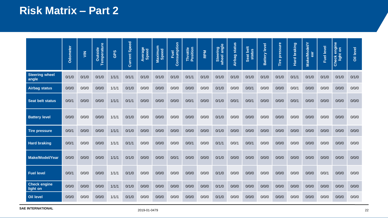## **Risk Matrix – Part 2**

|                                 | Odometer | $\frac{2}{5}$ | <b>Temperature</b><br>Outside | GPS   | <b>Current Speed</b> | Average<br>Speed | Maximum<br>Speed | Consumption<br>Fuel | Throttle<br>Position | <b>RPM</b> | Steering<br>wheel angle | <b>Airbag status</b> | Seat belt<br>status | <b>Battery level</b> | Tire pressure | braking<br>Hard | <b>Make/Model/Y</b><br>ā | Fuel level | engine<br>$\overline{\delta}$<br>light<br><b>Check</b> | Oil level |
|---------------------------------|----------|---------------|-------------------------------|-------|----------------------|------------------|------------------|---------------------|----------------------|------------|-------------------------|----------------------|---------------------|----------------------|---------------|-----------------|--------------------------|------------|--------------------------------------------------------|-----------|
| <b>Steering wheel</b><br>angle  | 0/1/0    | 0/1/0         | 0/1/0                         | 1/1/1 | 0/1/1                | 0/1/0            | 0/1/0            | 0/1/0               | 0/1/1                | 0/1/0      | 0/1/0                   | 0/1/0                | 0/1/0               | 0/1/0                | 0/1/0         | 0/1/1           | 0/1/0                    | 0/1/0      | 0/1/0                                                  | 0/1/0     |
| <b>Airbag status</b>            | 0/0/0    | 0/0/0         | 0/0/0                         | 1/1/1 | 0/1/0                | 0/0/0            | 0/0/0            | 0/0/0               | 0/0/0                | 0/0/0      | 0/1/0                   | 0/0/0                | 0/0/1               | 0/0/0                | 0/0/0         | 0/0/1           | 0/0/0                    | 0/0/0      | 0/0/0                                                  | 0/0/0     |
| <b>Seat belt status</b>         | 0/0/1    | 0/0/0         | 0/0/0                         | 1/1/1 | 0/1/1                | 0/0/0            | 0/0/0            | 0/0/0               | 0/0/1                | 0/0/0      | 0/1/0                   | 0/0/1                | 0/0/1               | 0/0/0                | 0/0/0         | 0/0/1           | 0/0/0                    | 0/0/0      | 0/0/0                                                  | 0/0/0     |
| <b>Battery level</b>            | 0/0/0    | 0/0/0         | 0/0/0                         | 1/1/1 | 0/1/0                | 0/0/0            | 0/0/0            | 0/0/0               | 0/0/0                | 0/0/0      | 0/1/0                   | 0/0/0                | 0/0/0               | 0/0/0                | 0/0/0         | 0/0/0           | 0/0/0                    | 0/0/0      | 0/0/0                                                  | 0/0/0     |
| <b>Tire pressure</b>            | 0/0/1    | 0/0/0         | 0/0/0                         | 1/1/1 | 0/1/0                | 0/0/0            | 0/0/0            | 0/0/0               | 0/0/0                | 0/0/0      | 0/1/0                   | 0/0/0                | 0/0/0               | 0/0/0                | 0/0/0         | 0/0/0           | 0/0/0                    | 0/0/0      | 0/0/0                                                  | 0/0/0     |
| <b>Hard braking</b>             | 0/0/1    | 0/0/0         | 0/0/0                         | 1/1/1 | 0/1/1                | 0/0/0            | 0/0/0            | 0/0/0               | 0/0/1                | 0/0/0      | 0/1/1                   | 0/0/1                | 0/0/1               | 0/0/0                | 0/0/0         | 0/0/0           | 0/0/0                    | 0/0/0      | 0/0/0                                                  | 0/0/0     |
| Make/Model/Year                 | 0/0/0    | 0/0/0         | 0/0/0                         | 1/1/1 | 0/1/0                | 0/0/0            | 0/0/0            | 0/0/1               | 0/0/0                | 0/0/0      | 0/1/0                   | 0/0/0                | 0/0/0               | 0/0/0                | 0/0/0         | 0/0/0           | 0/0/0                    | 0/0/0      | 0/0/0                                                  | 0/0/0     |
| <b>Fuel level</b>               | 0/0/1    | 0/0/0         | 0/0/0                         | 1/1/1 | 0/1/0                | 0/0/0            | 0/0/0            | 0/0/0               | 0/0/0                | 0/0/0      | 0/1/0                   | 0/0/0                | 0/0/0               | 0/0/0                | 0/0/0         | 0/0/0           | 0/0/0                    | 0/0/1      | 0/0/0                                                  | 0/0/0     |
| <b>Check engine</b><br>light on | 0/0/0    | 0/0/0         | 0/0/0                         | 1/1/1 | 0/1/0                | 0/0/0            | 0/0/0            | 0/0/0               | 0/0/0                | 0/0/0      | 0/1/0                   | 0/0/0                | 0/0/0               | 0/0/0                | 0/0/0         | 0/0/0           | 0/0/0                    | 0/0/0      | 0/0/0                                                  | 0/0/0     |
| Oil level                       | 0/0/0    | 0/0/0         | 0/0/0                         | 1/1/1 | 0/1/0                | 0/0/0            | 0/0/0            | 0/0/0               | 0/0/0                | 0/0/0      | 0/1/0                   | 0/0/0                | 0/0/0               | 0/0/0                | 0/0/0         | 0/0/0           | 0/0/0                    | 0/0/0      | 0/0/0                                                  | 0/0/0     |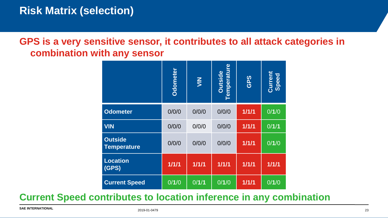### **GPS is a very sensitive sensor, it contributes to all attack categories in combination with any sensor**

|                                                    | Odometer | $rac{z}{z}$ | <b>Temperature</b><br><b>Outside</b> | GPS   | Current<br>Speed |  |  |  |  |  |
|----------------------------------------------------|----------|-------------|--------------------------------------|-------|------------------|--|--|--|--|--|
| <b>Odometer</b>                                    | 0/0/0    | 0/0/0       | 0/0/0                                | 1/1/1 | 0/1/0            |  |  |  |  |  |
| <b>VIN</b>                                         | 0/0/0    | 0/0/0       | 0/0/0                                | 1/1/1 | 0/1/1            |  |  |  |  |  |
| <b>Outside</b><br><b>Temperature</b>               | 0/0/0    | 0/0/0       | 0/0/0                                | 1/1/1 | 0/1/0            |  |  |  |  |  |
| <b>Location</b><br>(GPS)                           | 1/1/1    | 1/1/1       | 1/1/1                                | 1/1/1 | 1/1/1            |  |  |  |  |  |
| <b>Current Speed</b>                               | 0/1/0    | 0/1/1       | 0/1/0                                | 1/1/1 | 0/1/0            |  |  |  |  |  |
| ntributes to location inference in any combination |          |             |                                      |       |                  |  |  |  |  |  |
| 2019-01-0479                                       |          |             |                                      |       |                  |  |  |  |  |  |

#### **Current Speed contributes to location inference in any combination**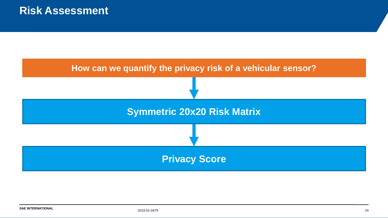![](_page_23_Figure_1.jpeg)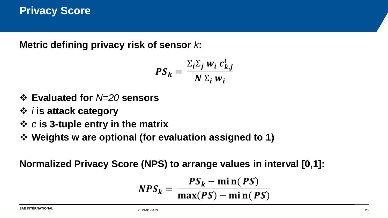**Metric defining privacy risk of sensor** *k***:**

$$
PS_k = \frac{\sum_i \sum_j w_i c_{k,j}^i}{N \sum_i w_i}
$$

- ❖ **Evaluated for** *N=20* **sensors**
- ❖ *i* **is attack category**
- ❖ *c* **is 3-tuple entry in the matrix**
- ❖ **Weights w are optional (for evaluation assigned to 1)**

**Normalized Privacy Score (NPS) to arrange values in interval [0,1]:**

$$
NPS_k = \frac{PS_k - \min(PS)}{\max(PS) - \min(PS)}
$$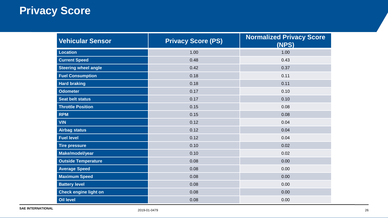## **Privacy Score**

| <b>Vehicular Sensor</b>     | <b>Privacy Score (PS)</b> | <b>Normalized Privacy Score</b><br>(NPS) |  |  |  |  |
|-----------------------------|---------------------------|------------------------------------------|--|--|--|--|
| <b>Location</b>             | 1.00                      | 1.00                                     |  |  |  |  |
| <b>Current Speed</b>        | 0.48                      | 0.43                                     |  |  |  |  |
| <b>Steering wheel angle</b> | 0.42                      | 0.37                                     |  |  |  |  |
| <b>Fuel Consumption</b>     | 0.18                      | 0.11                                     |  |  |  |  |
| <b>Hard braking</b>         | 0.18                      | 0.11                                     |  |  |  |  |
| <b>Odometer</b>             | 0.17                      | 0.10                                     |  |  |  |  |
| <b>Seat belt status</b>     | 0.17                      | 0.10                                     |  |  |  |  |
| <b>Throttle Position</b>    | 0.15                      | 0.08                                     |  |  |  |  |
| <b>RPM</b>                  | 0.15                      | 0.08                                     |  |  |  |  |
| <b>VIN</b>                  | 0.12                      | 0.04                                     |  |  |  |  |
| <b>Airbag status</b>        | 0.12                      | 0.04                                     |  |  |  |  |
| <b>Fuel level</b>           | 0.12                      | 0.04                                     |  |  |  |  |
| <b>Tire pressure</b>        | 0.10                      | 0.02                                     |  |  |  |  |
| Make/model/year             | 0.10                      | 0.02                                     |  |  |  |  |
| <b>Outside Temperature</b>  | 0.08                      | 0.00                                     |  |  |  |  |
| <b>Average Speed</b>        | 0.08                      | 0.00                                     |  |  |  |  |
| <b>Maximum Speed</b>        | 0.08                      | 0.00                                     |  |  |  |  |
| <b>Battery level</b>        | 0.08                      | 0.00                                     |  |  |  |  |
| Check engine light on       | 0.08                      | 0.00                                     |  |  |  |  |
| Oil level                   | 0.08                      | 0.00                                     |  |  |  |  |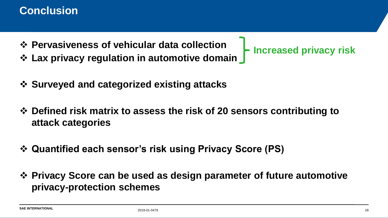### **Conclusion**

- ❖ **Pervasiveness of vehicular data collection**
- ❖ **Lax privacy regulation in automotive domain**
- ❖ **Surveyed and categorized existing attacks**
- ❖ **Defined risk matrix to assess the risk of 20 sensors contributing to attack categories**
- ❖ **Quantified each sensor's risk using Privacy Score (PS)**
- ❖ **Privacy Score can be used as design parameter of future automotive privacy-protection schemes**

**Increased privacy risk**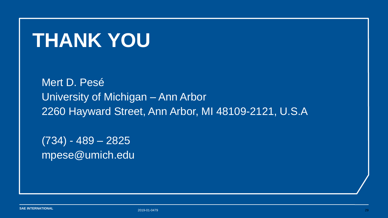## **THANK YOU**

Mert D. Pesé University of Michigan – Ann Arbor 2260 Hayward Street, Ann Arbor, MI 48109-2121, U.S.A

(734) - 489 – 2825 mpese@umich.edu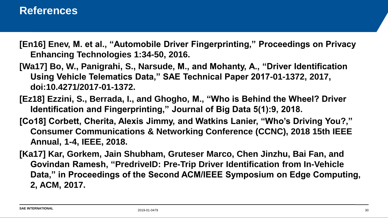#### **References**

- **[En16] Enev, M. et al., "Automobile Driver Fingerprinting," Proceedings on Privacy Enhancing Technologies 1:34-50, 2016.**
- **[Wa17] Bo, W., Panigrahi, S., Narsude, M., and Mohanty, A., "Driver Identification Using Vehicle Telematics Data," SAE Technical Paper 2017-01-1372, 2017, doi:10.4271/2017-01-1372.**
- **[Ez18] Ezzini, S., Berrada, I., and Ghogho, M., "Who is Behind the Wheel? Driver Identification and Fingerprinting," Journal of Big Data 5(1):9, 2018.**
- **[Co18] Corbett, Cherita, Alexis Jimmy, and Watkins Lanier, "Who's Driving You?," Consumer Communications & Networking Conference (CCNC), 2018 15th IEEE Annual, 1-4, IEEE, 2018.**
- **[Ka17] Kar, Gorkem, Jain Shubham, Gruteser Marco, Chen Jinzhu, Bai Fan, and Govindan Ramesh, "PredriveID: Pre-Trip Driver Identification from In-Vehicle Data," in Proceedings of the Second ACM/IEEE Symposium on Edge Computing, 2, ACM, 2017.**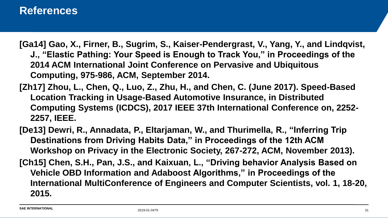- **[Ga14] Gao, X., Firner, B., Sugrim, S., Kaiser-Pendergrast, V., Yang, Y., and Lindqvist, J., "Elastic Pathing: Your Speed is Enough to Track You," in Proceedings of the 2014 ACM International Joint Conference on Pervasive and Ubiquitous Computing, 975-986, ACM, September 2014.**
- **[Zh17] Zhou, L., Chen, Q., Luo, Z., Zhu, H., and Chen, C. (June 2017). Speed-Based Location Tracking in Usage-Based Automotive Insurance, in Distributed Computing Systems (ICDCS), 2017 IEEE 37th International Conference on, 2252- 2257, IEEE.**
- **[De13] Dewri, R., Annadata, P., Eltarjaman, W., and Thurimella, R., "Inferring Trip Destinations from Driving Habits Data," in Proceedings of the 12th ACM Workshop on Privacy in the Electronic Society, 267-272, ACM, November 2013). [Ch15] Chen, S.H., Pan, J.S., and Kaixuan, L., "Driving behavior Analysis Based on Vehicle OBD Information and Adaboost Algorithms," in Proceedings of the International MultiConference of Engineers and Computer Scientists, vol. 1, 18-20, 2015.**